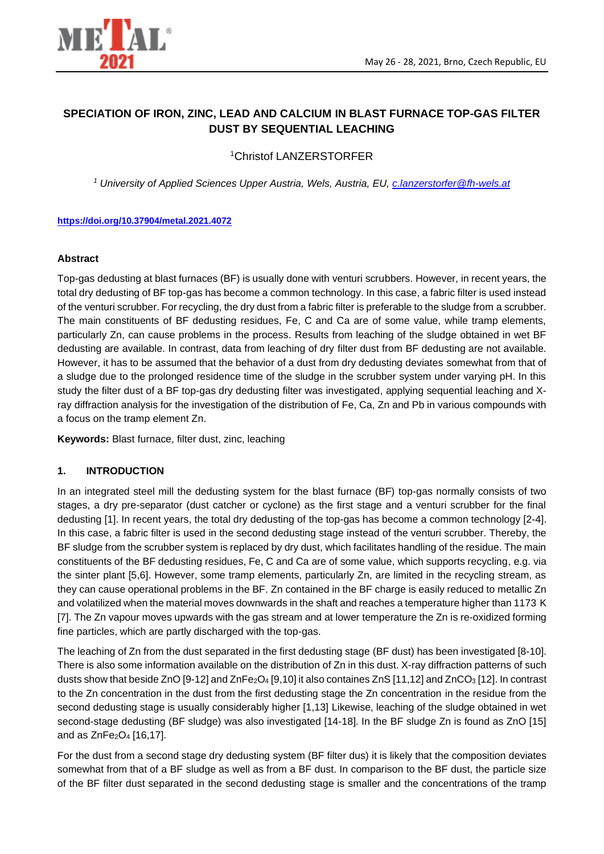

# **SPECIATION OF IRON, ZINC, LEAD AND CALCIUM IN BLAST FURNACE TOP-GAS FILTER DUST BY SEQUENTIAL LEACHING**

<sup>1</sup>Christof LANZERSTORFER

*<sup>1</sup> University of Applied Sciences Upper Austria, Wels, Austria, EU, [c.lanzerstorfer@fh-wels.at](mailto:c.lanzerstorfer@fh-wels.at)*

## **<https://doi.org/10.37904/metal.2021.4072>**

## **Abstract**

Top-gas dedusting at blast furnaces (BF) is usually done with venturi scrubbers. However, in recent years, the total dry dedusting of BF top-gas has become a common technology. In this case, a fabric filter is used instead of the venturi scrubber. For recycling, the dry dust from a fabric filter is preferable to the sludge from a scrubber. The main constituents of BF dedusting residues, Fe, C and Ca are of some value, while tramp elements, particularly Zn, can cause problems in the process. Results from leaching of the sludge obtained in wet BF dedusting are available. In contrast, data from leaching of dry filter dust from BF dedusting are not available. However, it has to be assumed that the behavior of a dust from dry dedusting deviates somewhat from that of a sludge due to the prolonged residence time of the sludge in the scrubber system under varying pH. In this study the filter dust of a BF top-gas dry dedusting filter was investigated, applying sequential leaching and Xray diffraction analysis for the investigation of the distribution of Fe, Ca, Zn and Pb in various compounds with a focus on the tramp element Zn.

**Keywords:** Blast furnace, filter dust, zinc, leaching

## **1. INTRODUCTION**

In an integrated steel mill the dedusting system for the blast furnace (BF) top-gas normally consists of two stages, a dry pre-separator (dust catcher or cyclone) as the first stage and a venturi scrubber for the final dedusting [1]. In recent years, the total dry dedusting of the top-gas has become a common technology [2-4]. In this case, a fabric filter is used in the second dedusting stage instead of the venturi scrubber. Thereby, the BF sludge from the scrubber system is replaced by dry dust, which facilitates handling of the residue. The main constituents of the BF dedusting residues, Fe, C and Ca are of some value, which supports recycling, e.g. via the sinter plant [5,6]. However, some tramp elements, particularly Zn, are limited in the recycling stream, as they can cause operational problems in the BF. Zn contained in the BF charge is easily reduced to metallic Zn and volatilized when the material moves downwards in the shaft and reaches a temperature higher than 1173 K [7]. The Zn vapour moves upwards with the gas stream and at lower temperature the Zn is re-oxidized forming fine particles, which are partly discharged with the top-gas.

The leaching of Zn from the dust separated in the first dedusting stage (BF dust) has been investigated [8-10]. There is also some information available on the distribution of Zn in this dust. X-ray diffraction patterns of such dusts show that beside ZnO [9-12] and ZnFe<sub>2</sub>O<sub>4</sub> [9,10] it also containes ZnS [11,12] and ZnCO<sub>3</sub> [12]. In contrast to the Zn concentration in the dust from the first dedusting stage the Zn concentration in the residue from the second dedusting stage is usually considerably higher [1,13] Likewise, leaching of the sludge obtained in wet second-stage dedusting (BF sludge) was also investigated [14-18]. In the BF sludge Zn is found as ZnO [15] and as  $ZnFe<sub>2</sub>O<sub>4</sub>$  [16,17].

For the dust from a second stage dry dedusting system (BF filter dus) it is likely that the composition deviates somewhat from that of a BF sludge as well as from a BF dust. In comparison to the BF dust, the particle size of the BF filter dust separated in the second dedusting stage is smaller and the concentrations of the tramp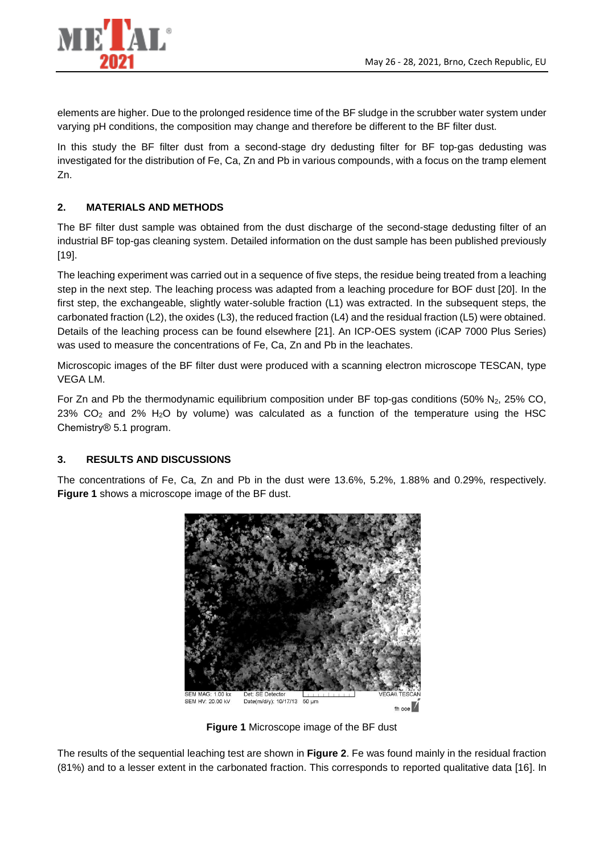

elements are higher. Due to the prolonged residence time of the BF sludge in the scrubber water system under varying pH conditions, the composition may change and therefore be different to the BF filter dust.

In this study the BF filter dust from a second-stage dry dedusting filter for BF top-gas dedusting was investigated for the distribution of Fe, Ca, Zn and Pb in various compounds, with a focus on the tramp element Zn.

## **2. MATERIALS AND METHODS**

The BF filter dust sample was obtained from the dust discharge of the second-stage dedusting filter of an industrial BF top-gas cleaning system. Detailed information on the dust sample has been published previously [19].

The leaching experiment was carried out in a sequence of five steps, the residue being treated from a leaching step in the next step. The leaching process was adapted from a leaching procedure for BOF dust [20]. In the first step, the exchangeable, slightly water-soluble fraction (L1) was extracted. In the subsequent steps, the carbonated fraction (L2), the oxides (L3), the reduced fraction (L4) and the residual fraction (L5) were obtained. Details of the leaching process can be found elsewhere [21]. An ICP-OES system (iCAP 7000 Plus Series) was used to measure the concentrations of Fe, Ca, Zn and Pb in the leachates.

Microscopic images of the BF filter dust were produced with a scanning electron microscope TESCAN, type VEGA LM.

For Zn and Pb the thermodynamic equilibrium composition under BF top-gas conditions (50% N<sub>2</sub>, 25% CO,  $23\%$  CO<sub>2</sub> and 2% H<sub>2</sub>O by volume) was calculated as a function of the temperature using the HSC Chemistry® 5.1 program.

## **3. RESULTS AND DISCUSSIONS**

The concentrations of Fe, Ca, Zn and Pb in the dust were 13.6%, 5.2%, 1.88% and 0.29%, respectively. **Figure 1** shows a microscope image of the BF dust.



**Figure 1** Microscope image of the BF dust

The results of the sequential leaching test are shown in **Figure 2**. Fe was found mainly in the residual fraction (81%) and to a lesser extent in the carbonated fraction. This corresponds to reported qualitative data [16]. In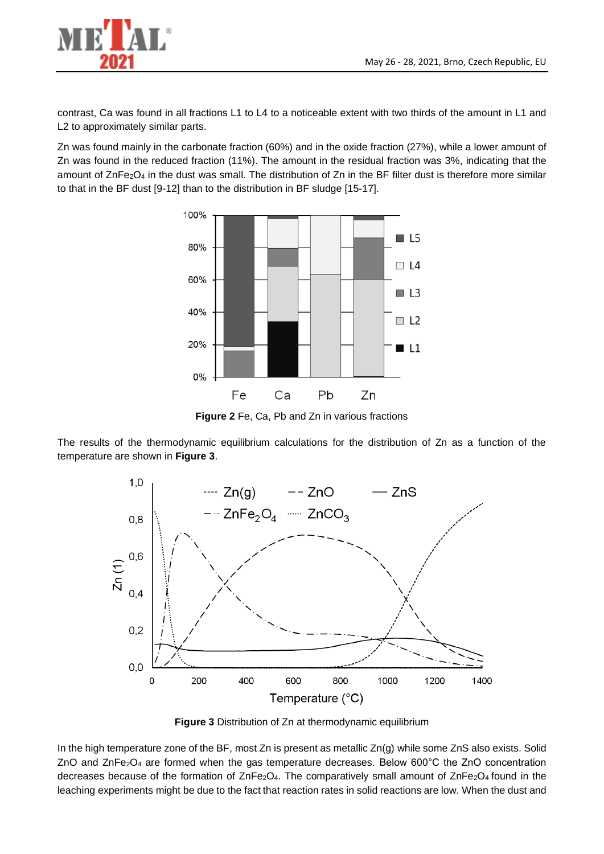

contrast, Ca was found in all fractions L1 to L4 to a noticeable extent with two thirds of the amount in L1 and L2 to approximately similar parts.

Zn was found mainly in the carbonate fraction (60%) and in the oxide fraction (27%), while a lower amount of Zn was found in the reduced fraction (11%). The amount in the residual fraction was 3%, indicating that the amount of  $\text{ZnFe}_2\text{O}_4$  in the dust was small. The distribution of  $\text{Zn}$  in the BF filter dust is therefore more similar to that in the BF dust [9-12] than to the distribution in BF sludge [15-17].



**Figure 2** Fe, Ca, Pb and Zn in various fractions

The results of the thermodynamic equilibrium calculations for the distribution of Zn as a function of the temperature are shown in **Figure 3**.



**Figure 3** Distribution of Zn at thermodynamic equilibrium

In the high temperature zone of the BF, most Zn is present as metallic Zn(g) while some ZnS also exists. Solid ZnO and ZnFe<sub>2</sub>O<sub>4</sub> are formed when the gas temperature decreases. Below 600 $^{\circ}$ C the ZnO concentration decreases because of the formation of  $\text{ZnFe}_2\text{O}_4$ . The comparatively small amount of  $\text{ZnFe}_2\text{O}_4$  found in the leaching experiments might be due to the fact that reaction rates in solid reactions are low. When the dust and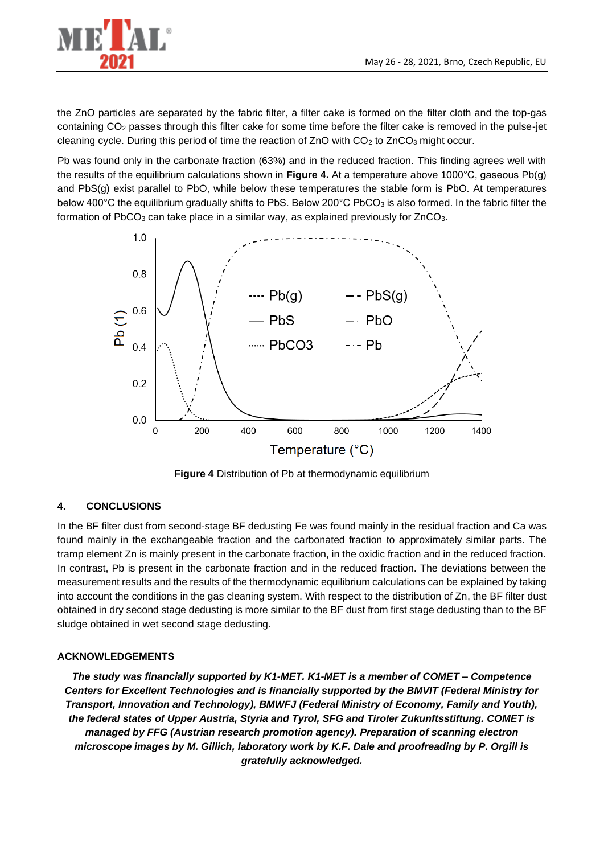

the ZnO particles are separated by the fabric filter, a filter cake is formed on the filter cloth and the top-gas containing CO<sup>2</sup> passes through this filter cake for some time before the filter cake is removed in the pulse-jet cleaning cycle. During this period of time the reaction of ZnO with CO<sub>2</sub> to ZnCO<sub>3</sub> might occur.

Pb was found only in the carbonate fraction (63%) and in the reduced fraction. This finding agrees well with the results of the equilibrium calculations shown in **Figure 4.** At a temperature above 1000°C, gaseous Pb(g) and PbS(g) exist parallel to PbO, while below these temperatures the stable form is PbO. At temperatures below 400°C the equilibrium gradually shifts to PbS. Below 200°C PbCO<sub>3</sub> is also formed. In the fabric filter the formation of PbCO<sub>3</sub> can take place in a similar way, as explained previously for  $ZnCO<sub>3</sub>$ .



**Figure 4** Distribution of Pb at thermodynamic equilibrium

## **4. CONCLUSIONS**

In the BF filter dust from second-stage BF dedusting Fe was found mainly in the residual fraction and Ca was found mainly in the exchangeable fraction and the carbonated fraction to approximately similar parts. The tramp element Zn is mainly present in the carbonate fraction, in the oxidic fraction and in the reduced fraction. In contrast, Pb is present in the carbonate fraction and in the reduced fraction. The deviations between the measurement results and the results of the thermodynamic equilibrium calculations can be explained by taking into account the conditions in the gas cleaning system. With respect to the distribution of Zn, the BF filter dust obtained in dry second stage dedusting is more similar to the BF dust from first stage dedusting than to the BF sludge obtained in wet second stage dedusting.

## **ACKNOWLEDGEMENTS**

*The study was financially supported by K1-MET. K1-MET is a member of COMET – Competence Centers for Excellent Technologies and is financially supported by the BMVIT (Federal Ministry for Transport, Innovation and Technology), BMWFJ (Federal Ministry of Economy, Family and Youth), the federal states of Upper Austria, Styria and Tyrol, SFG and Tiroler Zukunftsstiftung. COMET is managed by FFG (Austrian research promotion agency). Preparation of scanning electron microscope images by M. Gillich, laboratory work by K.F. Dale and proofreading by P. Orgill is gratefully acknowledged.*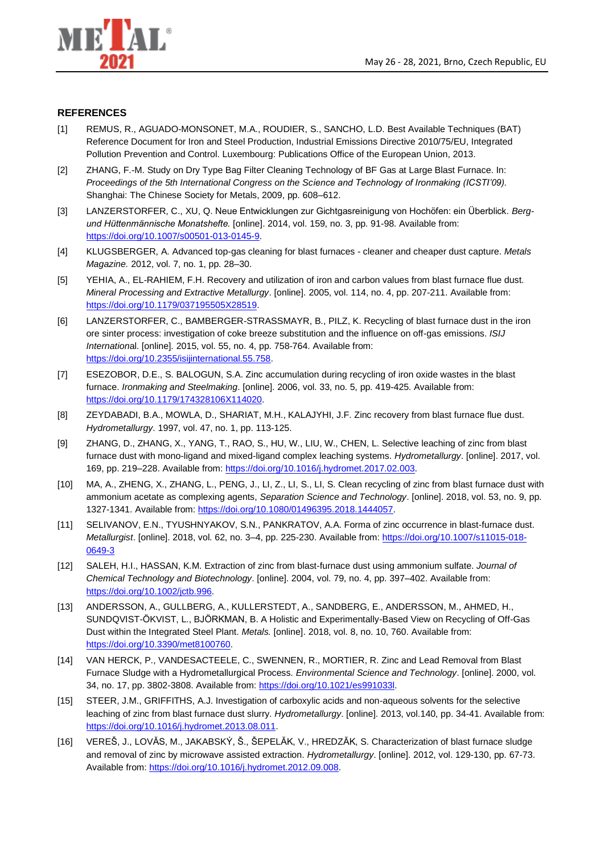

#### **REFERENCES**

- [1] REMUS, R., AGUADO-MONSONET, M.A., ROUDIER, S., SANCHO, L.D. Best Available Techniques (BAT) Reference Document for Iron and Steel Production, Industrial Emissions Directive 2010/75/EU, Integrated Pollution Prevention and Control. Luxembourg: Publications Office of the European Union, 2013.
- [2] ZHANG, F.-M. Study on Dry Type Bag Filter Cleaning Technology of BF Gas at Large Blast Furnace. In: *Proceedings of the 5th International Congress on the Science and Technology of Ironmaking (ICSTI'09).* Shanghai: The Chinese Society for Metals, 2009, pp. 608–612.
- [3] LANZERSTORFER, C., XU, Q. Neue Entwicklungen zur Gichtgasreinigung von Hochöfen: ein Überblick. *Bergund Hüttenmännische Monatshefte.* [online]. 2014, vol. 159, no. 3, pp. 91-98. Available from: [https://doi.org/10.1007/s00501-013-0145-9.](https://doi.org/10.1007/s00501-013-0145-9)
- [4] KLUGSBERGER, A. Advanced top-gas cleaning for blast furnaces cleaner and cheaper dust capture. *Metals Magazine.* 2012, vol. 7, no. 1, pp. 28–30.
- [5] YEHIA, A., EL-RAHIEM, F.H. Recovery and utilization of iron and carbon values from blast furnace flue dust. *Mineral Processing and Extractive Metallurgy*. [online]. 2005, vol. 114, no. 4, pp. 207-211. Available from: [https://doi.org/10.1179/037195505X28519.](https://doi.org/10.1179/037195505X28519)
- [6] LANZERSTORFER, C., BAMBERGER-STRASSMAYR, B., PILZ, K. Recycling of blast furnace dust in the iron ore sinter process: investigation of coke breeze substitution and the influence on off-gas emissions. *ISIJ Internation*al. [online]. 2015, vol. 55, no. 4, pp. 758-764. Available from: [https://doi.org/10.2355/isijinternational.55.758.](https://doi.org/10.2355/isijinternational.55.758)
- [7] ESEZOBOR, D.E., S. BALOGUN, S.A. Zinc accumulation during recycling of iron oxide wastes in the blast furnace. *Ironmaking and Steelmaking*. [online]. 2006, vol. 33, no. 5, pp. 419-425. Available from: [https://doi.org/10.1179/174328106X114020.](https://doi.org/10.1179/174328106X114020)
- [8] ZEYDABADI, B.A., MOWLA, D., SHARIAT, M.H., KALAJYHI, J.F. Zinc recovery from blast furnace flue dust. *Hydrometallurgy*. 1997, vol. 47, no. 1, pp. 113-125.
- [9] ZHANG, D., ZHANG, X., YANG, T., RAO, S., HU, W., LIU, W., CHEN, L. Selective leaching of zinc from blast furnace dust with mono-ligand and mixed-ligand complex leaching systems. *Hydrometallurgy*. [online]. 2017, vol. 169, pp. 219–228. Available from: [https://doi.org/10.1016/j.hydromet.2017.02.003.](https://doi.org/10.1016/j.hydromet.2017.02.003)
- [10] MA, A., ZHENG, X., ZHANG, L., PENG, J., LI, Z., LI, S., LI, S. Clean recycling of zinc from blast furnace dust with ammonium acetate as complexing agents, *Separation Science and Technology*. [online]. 2018, vol. 53, no. 9, pp. 1327-1341. Available from: [https://doi.org/10.1080/01496395.2018.1444057.](https://doi.org/10.1080/01496395.2018.1444057)
- [11] SELIVANOV, E.N., TYUSHNYAKOV, S.N., PANKRATOV, A.A. Forma of zinc occurrence in blast-furnace dust. *Metallurgist*. [online]. 2018, vol. 62, no. 3–4, pp. 225-230. Available from[: https://doi.org/10.1007/s11015-018-](https://doi.org/10.1007/s11015-018-0649-3) [0649-3](https://doi.org/10.1007/s11015-018-0649-3)
- [12] SALEH, H.I., HASSAN, K.M. Extraction of zinc from blast-furnace dust using ammonium sulfate. *Journal of Chemical Technology and Biotechnology*. [online]. 2004, vol. 79, no. 4, pp. 397–402. Available from: [https://doi.org/10.1002/jctb.996.](https://doi.org/10.1002/jctb.996)
- [13] ANDERSSON, A., GULLBERG, A., KULLERSTEDT, A., SANDBERG, E., ANDERSSON, M., AHMED, H., SUNDQVIST-ÖKVIST, L., BJÖRKMAN, B. A Holistic and Experimentally-Based View on Recycling of Off-Gas Dust within the Integrated Steel Plant. *Metals.* [online]. 2018, vol. 8, no. 10, 760. Available from: [https://doi.org/10.3390/met8100760.](https://doi.org/10.3390/met8100760)
- [14] VAN HERCK, P., VANDESACTEELE, C., SWENNEN, R., MORTIER, R. Zinc and Lead Removal from Blast Furnace Sludge with a Hydrometallurgical Process. *Environmental Science and Technology*. [online]. 2000, vol. 34, no. 17, pp. 3802-3808. Available from: [https://doi.org/10.1021/es991033l.](https://doi.org/10.1021/es991033l)
- [15] STEER, J.M., GRIFFITHS, A.J. Investigation of carboxylic acids and non-aqueous solvents for the selective leaching of zinc from blast furnace dust slurry. *Hydrometallurgy*. [online]. 2013, vol.140, pp. 34-41. Available from: [https://doi.org/10.1016/j.hydromet.2013.08.011.](https://doi.org/10.1016/j.hydromet.2013.08.011)
- [16] VEREŠ, J., LOVĂS, M., JAKABSKÝ, Š., ŠEPELĂK, V., HREDZĂK, S. Characterization of blast furnace sludge and removal of zinc by microwave assisted extraction. *Hydrometallurgy*. [online]. 2012, vol. 129-130, pp. 67-73. Available from: [https://doi.org/10.1016/j.hydromet.2012.09.008.](https://doi.org/10.1016/j.hydromet.2012.09.008)